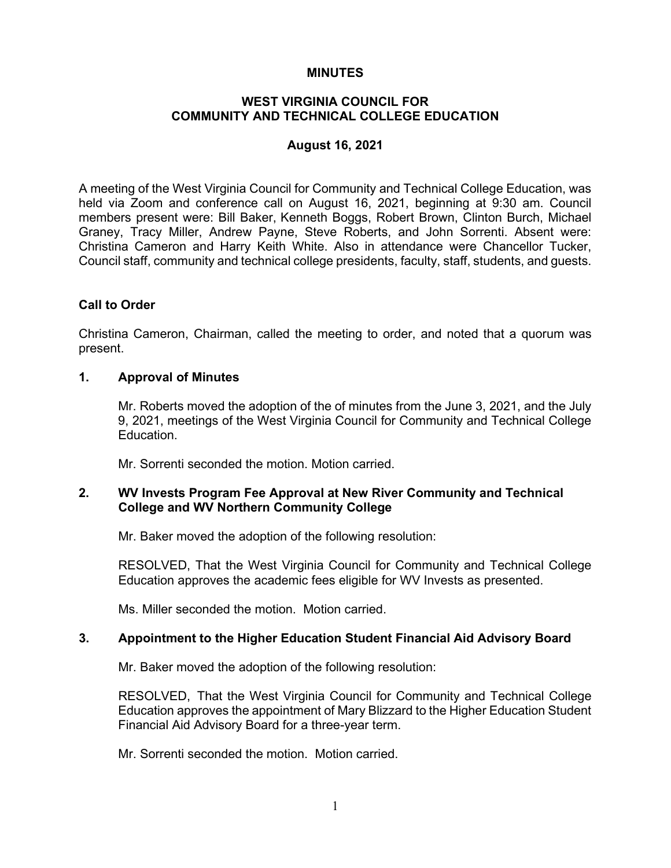### **MINUTES**

## **WEST VIRGINIA COUNCIL FOR COMMUNITY AND TECHNICAL COLLEGE EDUCATION**

### **August 16, 2021**

A meeting of the West Virginia Council for Community and Technical College Education, was held via Zoom and conference call on August 16, 2021, beginning at 9:30 am. Council members present were: Bill Baker, Kenneth Boggs, Robert Brown, Clinton Burch, Michael Graney, Tracy Miller, Andrew Payne, Steve Roberts, and John Sorrenti. Absent were: Christina Cameron and Harry Keith White. Also in attendance were Chancellor Tucker, Council staff, community and technical college presidents, faculty, staff, students, and guests.

## **Call to Order**

Christina Cameron, Chairman, called the meeting to order, and noted that a quorum was present.

#### **1. Approval of Minutes**

Mr. Roberts moved the adoption of the of minutes from the June 3, 2021, and the July 9, 2021, meetings of the West Virginia Council for Community and Technical College Education.

Mr. Sorrenti seconded the motion. Motion carried.

## **2. WV Invests Program Fee Approval at New River Community and Technical College and WV Northern Community College**

Mr. Baker moved the adoption of the following resolution:

RESOLVED, That the West Virginia Council for Community and Technical College Education approves the academic fees eligible for WV Invests as presented.

Ms. Miller seconded the motion. Motion carried.

## **3. Appointment to the Higher Education Student Financial Aid Advisory Board**

Mr. Baker moved the adoption of the following resolution:

RESOLVED, That the West Virginia Council for Community and Technical College Education approves the appointment of Mary Blizzard to the Higher Education Student Financial Aid Advisory Board for a three-year term.

Mr. Sorrenti seconded the motion. Motion carried.